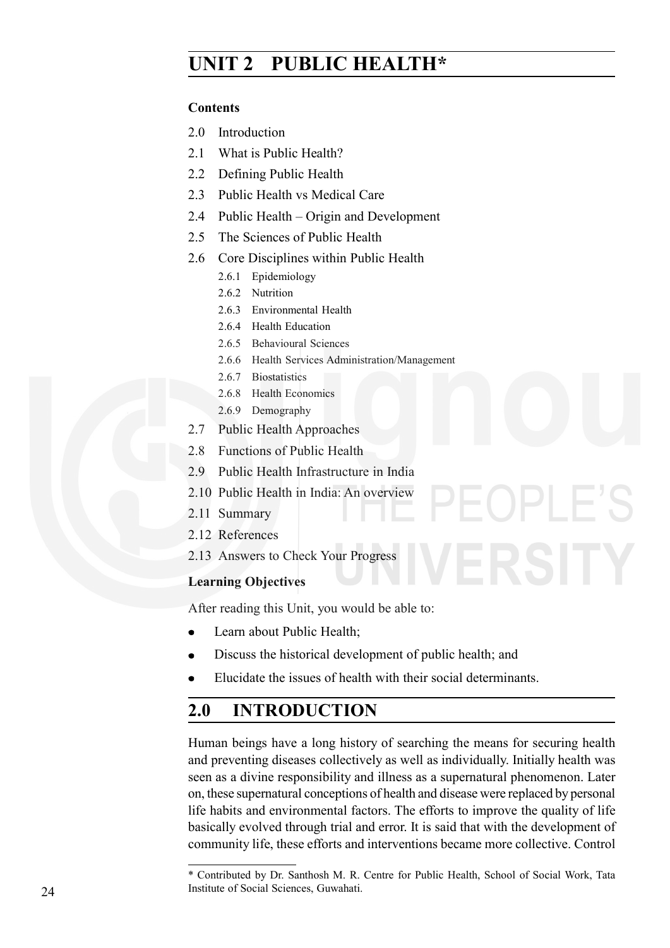# **Public Health UNIT 2 PUBLIC HEALTH\***

#### **Contents**

- 2.0 Introduction
- 2.1 What is Public Health?
- 2.2 Defining Public Health
- 2.3 Public Health vs Medical Care
- 2.4 Public Health Origin and Development
- 2.5 The Sciences of Public Health
- 2.6 Core Disciplines within Public Health
	- 2.6.1 Epidemiology
	- 2.6.2 Nutrition
	- 2.6.3 Environmental Health
	- 2.6.4 Health Education
	- 2.6.5 Behavioural Sciences
	- 2.6.6 Health Services Administration/Management
	- 2.6.7 Biostatistics
	- 2.6.8 Health Economics
	- 2.6.9 Demography
- 2.7 Public Health Approaches
- 2.8 Functions of Public Health
- 2.9 Public Health Infrastructure in India
- 2.10 Public Health in India: An overview
- 2.11 Summary
- 2.12 References
- 2.13 Answers to Check Your Progress

#### **Learning Objectives**

After reading this Unit, you would be able to:

- Learn about Public Health;
- Discuss the historical development of public health; and  $\bullet$
- Elucidate the issues of health with their social determinants.  $\bullet$

# **2.0 INTRODUCTION**

Human beings have a long history of searching the means for securing health and preventing diseases collectively as well as individually. Initially health was seen as a divine responsibility and illness as a supernatural phenomenon. Later on, these supernatural conceptions of health and disease were replaced by personal life habits and environmental factors. The efforts to improve the quality of life basically evolved through trial and error. It is said that with the development of community life, these efforts and interventions became more collective. Control

<sup>\*</sup> Contributed by Dr. Santhosh M. R. Centre for Public Health, School of Social Work, Tata Institute of Social Sciences, Guwahati.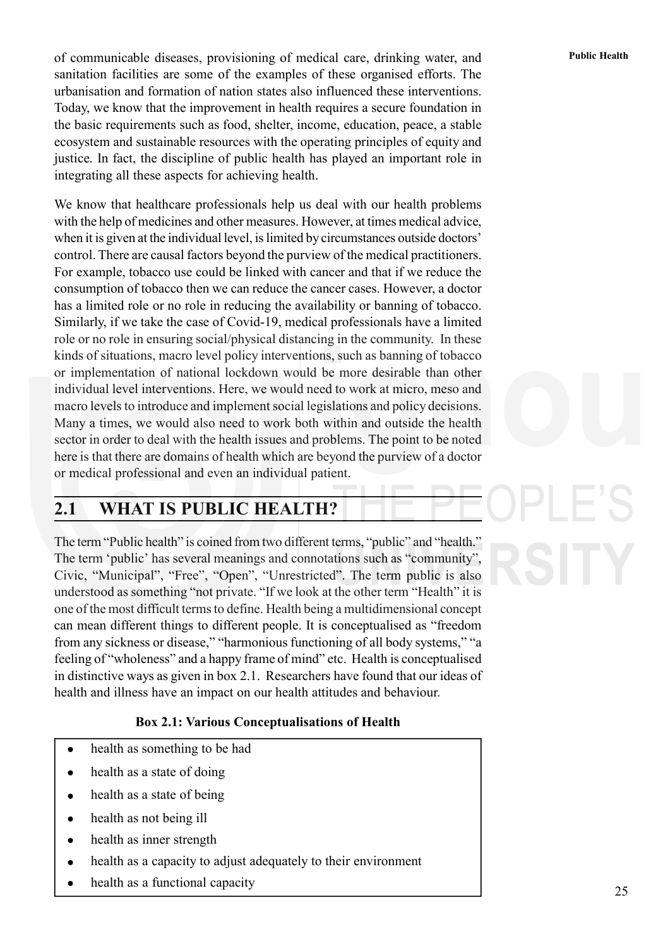of communicable diseases, provisioning of medical care, drinking water, and **Public Health** sanitation facilities are some of the examples of these organised efforts. The urbanisation and formation of nation states also influenced these interventions. Today, we know that the improvement in health requires a secure foundation in the basic requirements such as food, shelter, income, education, peace, a stable ecosystem and sustainable resources with the operating principles of equity and justice. In fact, the discipline of public health has played an important role in integrating all these aspects for achieving health.

We know that healthcare professionals help us deal with our health problems with the help of medicines and other measures. However, at times medical advice, when it is given at the individual level, is limited by circumstances outside doctors' control. There are causal factors beyond the purview of the medical practitioners. For example, tobacco use could be linked with cancer and that if we reduce the consumption of tobacco then we can reduce the cancer cases. However, a doctor has a limited role or no role in reducing the availability or banning of tobacco. Similarly, if we take the case of Covid-19, medical professionals have a limited role or no role in ensuring social/physical distancing in the community. In these kinds of situations, macro level policy interventions, such as banning of tobacco or implementation of national lockdown would be more desirable than other individual level interventions. Here, we would need to work at micro, meso and macro levels to introduce and implement social legislations and policy decisions. Many a times, we would also need to work both within and outside the health sector in order to deal with the health issues and problems. The point to be noted here is that there are domains of health which are beyond the purview of a doctor or medical professional and even an individual patient.

# **2.1 WHAT IS PUBLIC HEALTH?**

The term "Public health" is coined from two different terms, "public" and "health." The term 'public' has several meanings and connotations such as "community", Civic, "Municipal", "Free", "Open", "Unrestricted". The term public is also understood as something "not private. "If we look at the other term "Health" it is one of the most difficult terms to define. Health being a multidimensional concept can mean different things to different people. It is conceptualised as "freedom from any sickness or disease," "harmonious functioning of all body systems," "a feeling of "wholeness" and a happy frame of mind" etc. Health is conceptualised in distinctive ways as given in box 2.1. Researchers have found that our ideas of health and illness have an impact on our health attitudes and behaviour.

#### **Box 2.1: Various Conceptualisations of Health**

- health as something to be had  $\bullet$
- health as a state of doing  $\bullet$
- health as a state of being  $\bullet$
- health as not being ill  $\bullet$
- health as inner strength  $\bullet$
- health as a capacity to adjust adequately to their environment
- health as a functional capacity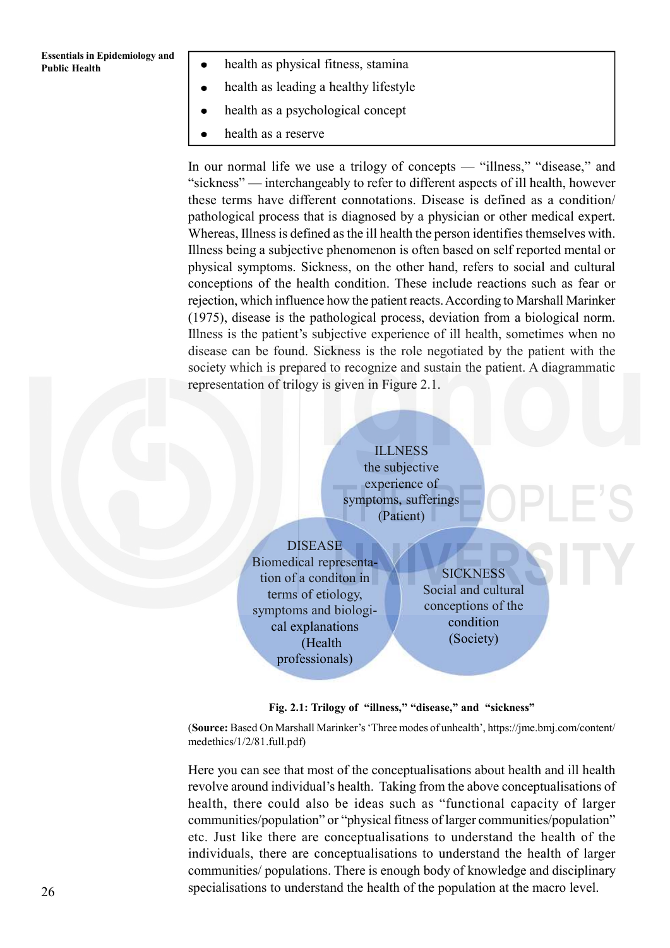- **Public Health** health **as physical fitness**, stamina
	- health as leading a healthy lifestyle  $\bullet$
	- health as a psychological concept
	- health as a reserve

In our normal life we use a trilogy of concepts — "illness," "disease," and "sickness" — interchangeably to refer to different aspects of ill health, however these terms have different connotations. Disease is defined as a condition/ pathological process that is diagnosed by a physician or other medical expert. Whereas, Illness is defined as the ill health the person identifies themselves with. Illness being a subjective phenomenon is often based on self reported mental or physical symptoms. Sickness, on the other hand, refers to social and cultural conceptions of the health condition. These include reactions such as fear or rejection, which influence how the patient reacts. According to Marshall Marinker (1975), disease is the pathological process, deviation from a biological norm. Illness is the patient's subjective experience of ill health, sometimes when no disease can be found. Sickness is the role negotiated by the patient with the society which is prepared to recognize and sustain the patient. A diagrammatic representation of trilogy is given in Figure 2.1.

> ILLNESS the subjective experience of symptoms, sufferings (Patient)

#### DISEASE

Biomedical representation of a conditon in terms of etiology, symptoms and biological explanations (Health professionals)

**SICKNESS** Social and cultural conceptions of the condition (Society)

#### **Fig. 2.1: Trilogy of "illness," "disease," and "sickness"**

(**Source:** Based On Marshall Marinker's 'Three modes of unhealth', https://jme.bmj.com/content/ medethics/1/2/81.full.pdf)

Here you can see that most of the conceptualisations about health and ill health revolve around individual's health. Taking from the above conceptualisations of health, there could also be ideas such as "functional capacity of larger communities/population" or "physical fitness of larger communities/population" etc. Just like there are conceptualisations to understand the health of the individuals, there are conceptualisations to understand the health of larger communities/ populations. There is enough body of knowledge and disciplinary specialisations to understand the health of the population at the macro level.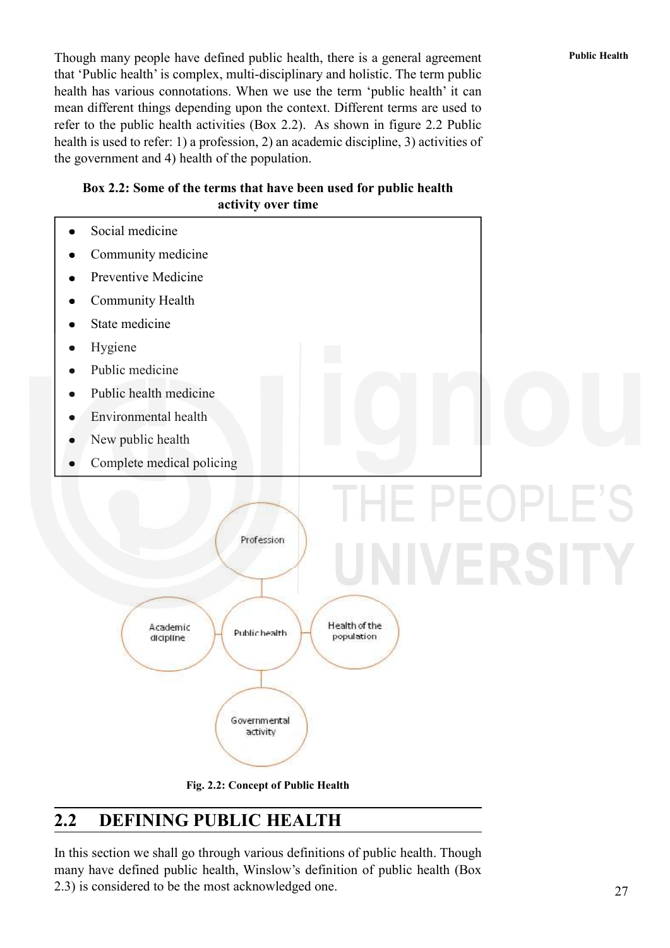Though many people have defined public health, there is a general agreement **Public Health** that 'Public health' is complex, multi-disciplinary and holistic. The term public health has various connotations. When we use the term 'public health' it can mean different things depending upon the context. Different terms are used to refer to the public health activities (Box 2.2). As shown in figure 2.2 Public health is used to refer: 1) a profession, 2) an academic discipline, 3) activities of the government and 4) health of the population.





**Fig. 2.2: Concept of Public Health**

# **2.2 DEFINING PUBLIC HEALTH**

In this section we shall go through various definitions of public health. Though many have defined public health, Winslow's definition of public health (Box 2.3) is considered to be the most acknowledged one.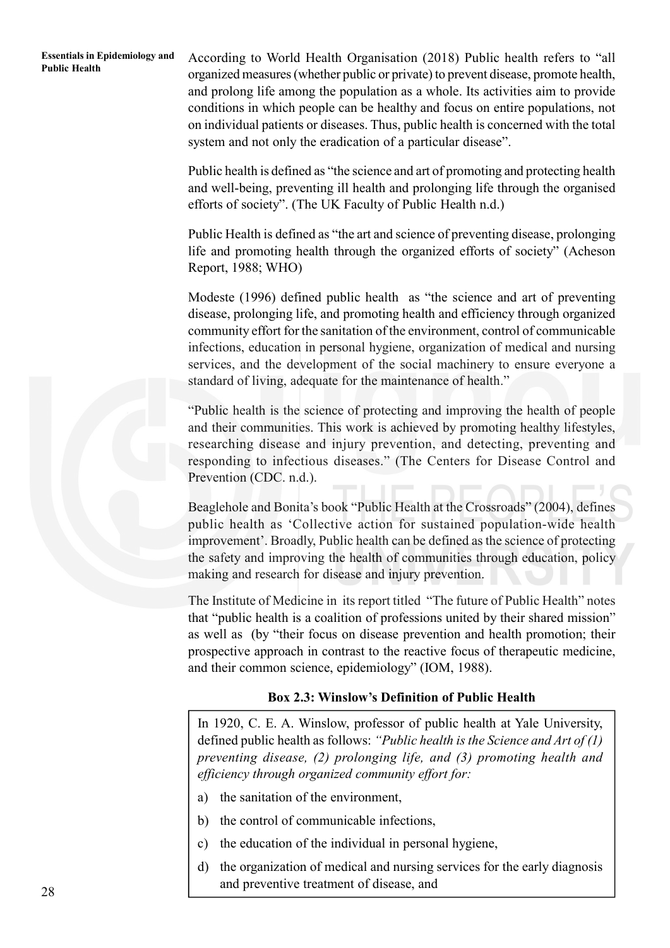**Essentials in Epidemiology and** According to World Health Organisation (2018) Public health refers to "all Public Health organized measures (whether public or private) to prevent disease, promote health, and prolong life among the population as a whole. Its activities aim to provide conditions in which people can be healthy and focus on entire populations, not on individual patients or diseases. Thus, public health is concerned with the total system and not only the eradication of a particular disease".

> Public health is defined as "the science and art of promoting and protecting health and well-being, preventing ill health and prolonging life through the organised efforts of society". (The UK Faculty of Public Health n.d.)

> Public Health is defined as "the art and science of preventing disease, prolonging life and promoting health through the organized efforts of society" (Acheson Report, 1988; WHO)

> Modeste (1996) defined public health as "the science and art of preventing disease, prolonging life, and promoting health and efficiency through organized community effort for the sanitation of the environment, control of communicable infections, education in personal hygiene, organization of medical and nursing services, and the development of the social machinery to ensure everyone a standard of living, adequate for the maintenance of health."

> "Public health is the science of protecting and improving the health of people and their communities. This work is achieved by promoting healthy lifestyles, researching disease and injury prevention, and detecting, preventing and responding to infectious diseases." (The Centers for Disease Control and Prevention (CDC. n.d.).

> Beaglehole and Bonita's book "Public Health at the Crossroads" (2004), defines public health as 'Collective action for sustained population-wide health improvement'. Broadly, Public health can be defined as the science of protecting the safety and improving the health of communities through education, policy making and research for disease and injury prevention.

> The Institute of Medicine in its report titled "The future of Public Health" notes that "public health is a coalition of professions united by their shared mission" as well as (by "their focus on disease prevention and health promotion; their prospective approach in contrast to the reactive focus of therapeutic medicine, and their common science, epidemiology" (IOM, 1988).

#### **Box 2.3: Winslow's Definition of Public Health**

In 1920, C. E. A. Winslow, professor of public health at Yale University, defined public health as follows: *"Public health is the Science and Art of (1) preventing disease, (2) prolonging life, and (3) promoting health and efficiency through organized community effort for:*

- a) the sanitation of the environment,
- b) the control of communicable infections,
- c) the education of the individual in personal hygiene,
- d) the organization of medical and nursing services for the early diagnosis and preventive treatment of disease, and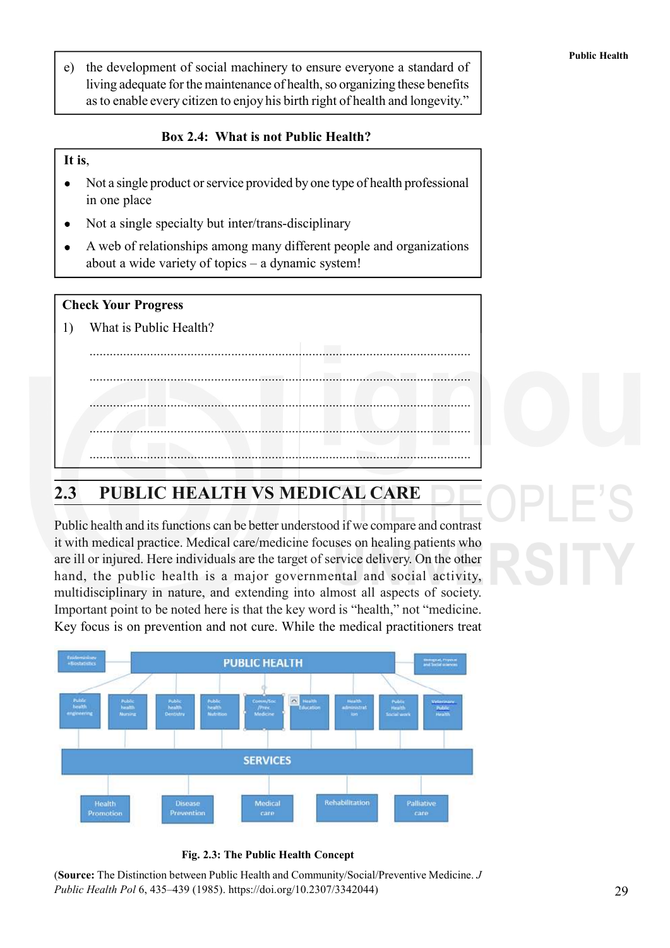e) the development of social machinery to ensure everyone a standard of living adequate for the maintenance of health, so organizing these benefits as to enable every citizen to enjoy his birth right of health and longevity."

#### **Box 2.4: What is not Public Health?**

#### **It is**,

- Not a single product or service provided by one type of health professional  $\bullet$ in one place
- Not a single specialty but inter/trans-disciplinary  $\bullet$
- A web of relationships among many different people and organizations about a wide variety of topics – a dynamic system!

#### **Check Your Progress**

1) What is Public Health?



# **2.3 PUBLIC HEALTH VS MEDICAL CARE**

Public health and its functions can be better understood if we compare and contrast it with medical practice. Medical care/medicine focuses on healing patients who are ill or injured. Here individuals are the target of service delivery. On the other hand, the public health is a major governmental and social activity, multidisciplinary in nature, and extending into almost all aspects of society. Important point to be noted here is that the key word is "health," not "medicine. Key focus is on prevention and not cure. While the medical practitioners treat





(**Source:** The Distinction between Public Health and Community/Social/Preventive Medicine. *J Public Health Pol* 6, 435–439 (1985). https://doi.org/10.2307/3342044)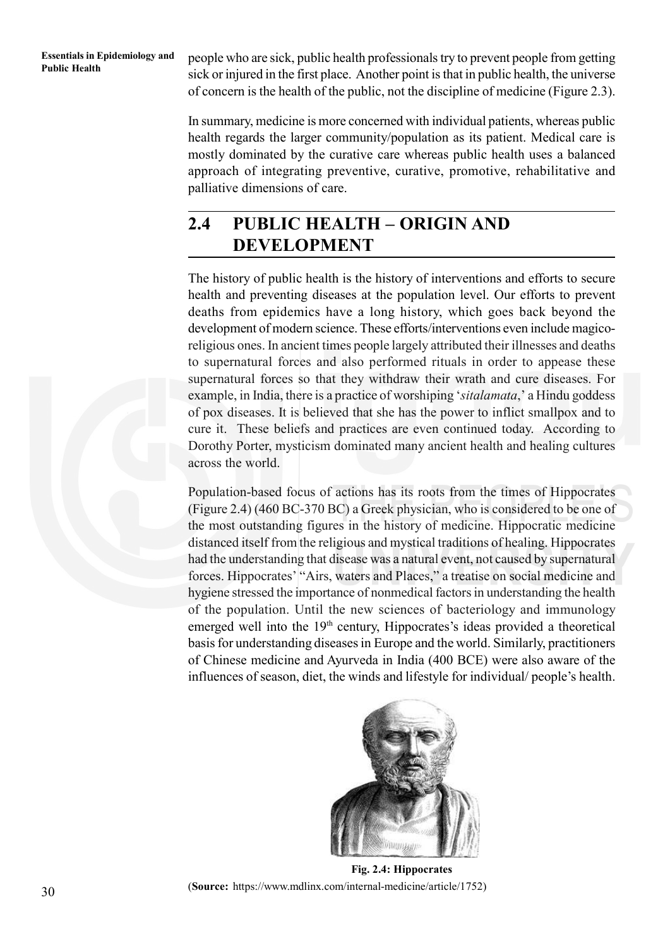**Essentials in Epidemiology and** people who are sick, public health professionals try to prevent people from getting Public Health sick or injured in the first place. Another point is that in public health, the universe of concern is the health of the public, not the discipline of medicine (Figure 2.3).

> In summary, medicine is more concerned with individual patients, whereas public health regards the larger community/population as its patient. Medical care is mostly dominated by the curative care whereas public health uses a balanced approach of integrating preventive, curative, promotive, rehabilitative and palliative dimensions of care.

# **2.4 PUBLIC HEALTH – ORIGIN AND DEVELOPMENT**

The history of public health is the history of interventions and efforts to secure health and preventing diseases at the population level. Our efforts to prevent deaths from epidemics have a long history, which goes back beyond the development of modern science. These efforts/interventions even include magicoreligious ones. In ancient times people largely attributed their illnesses and deaths to supernatural forces and also performed rituals in order to appease these supernatural forces so that they withdraw their wrath and cure diseases. For example, in India, there is a practice of worshiping '*sitalamata*,' a Hindu goddess of pox diseases. It is believed that she has the power to inflict smallpox and to cure it. These beliefs and practices are even continued today. According to Dorothy Porter, mysticism dominated many ancient health and healing cultures across the world.

Population-based focus of actions has its roots from the times of Hippocrates (Figure 2.4) (460 BC-370 BC) a Greek physician, who is considered to be one of the most outstanding figures in the history of medicine. Hippocratic medicine distanced itself from the religious and mystical traditions of healing. Hippocrates had the understanding that disease was a natural event, not caused by supernatural forces. Hippocrates' "Airs, waters and Places," a treatise on social medicine and hygiene stressed the importance of nonmedical factors in understanding the health of the population. Until the new sciences of bacteriology and immunology emerged well into the 19<sup>th</sup> century, Hippocrates's ideas provided a theoretical basis for understanding diseases in Europe and the world. Similarly, practitioners of Chinese medicine and Ayurveda in India (400 BCE) were also aware of the influences of season, diet, the winds and lifestyle for individual/ people's health.



**Fig. 2.4: Hippocrates** (**Source:** https://www.mdlinx.com/internal-medicine/article/1752)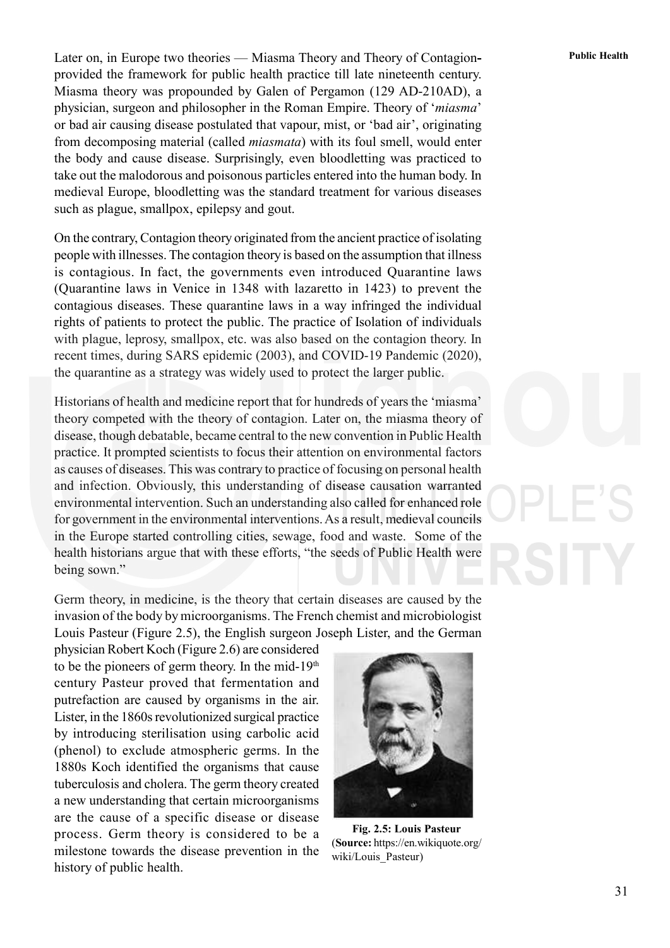Later on, in Europe two theories — Miasma Theory and Theory of Contagion-<br>**Public Health** provided the framework for public health practice till late nineteenth century. Miasma theory was propounded by Galen of Pergamon (129 AD-210AD), a physician, surgeon and philosopher in the Roman Empire. Theory of '*miasma*' or bad air causing disease postulated that vapour, mist, or 'bad air', originating from decomposing material (called *miasmata*) with its foul smell, would enter the body and cause disease. Surprisingly, even bloodletting was practiced to take out the malodorous and poisonous particles entered into the human body. In medieval Europe, bloodletting was the standard treatment for various diseases such as plague, smallpox, epilepsy and gout.

On the contrary, Contagion theory originated from the ancient practice of isolating people with illnesses. The contagion theory is based on the assumption that illness is contagious. In fact, the governments even introduced Quarantine laws (Quarantine laws in Venice in 1348 with lazaretto in 1423) to prevent the contagious diseases. These quarantine laws in a way infringed the individual rights of patients to protect the public. The practice of Isolation of individuals with plague, leprosy, smallpox, etc. was also based on the contagion theory. In recent times, during SARS epidemic (2003), and COVID-19 Pandemic (2020), the quarantine as a strategy was widely used to protect the larger public.

Historians of health and medicine report that for hundreds of years the 'miasma' theory competed with the theory of contagion. Later on, the miasma theory of disease, though debatable, became central to the new convention in Public Health practice. It prompted scientists to focus their attention on environmental factors as causes of diseases. This was contrary to practice of focusing on personal health and infection. Obviously, this understanding of disease causation warranted environmental intervention. Such an understanding also called for enhanced role for government in the environmental interventions. As a result, medieval councils in the Europe started controlling cities, sewage, food and waste. Some of the health historians argue that with these efforts, "the seeds of Public Health were being sown."

Germ theory, in medicine, is the theory that certain diseases are caused by the invasion of the body by microorganisms. The French chemist and microbiologist Louis Pasteur (Figure 2.5), the English surgeon Joseph Lister, and the German

physician Robert Koch (Figure 2.6) are considered to be the pioneers of germ theory. In the mid-19<sup>th</sup> century Pasteur proved that fermentation and putrefaction are caused by organisms in the air. Lister, in the 1860s revolutionized surgical practice by introducing sterilisation using carbolic acid (phenol) to exclude atmospheric germs. In the 1880s Koch identified the organisms that cause tuberculosis and cholera. The germ theory created a new understanding that certain microorganisms are the cause of a specific disease or disease process. Germ theory is considered to be a milestone towards the disease prevention in the history of public health.



**Fig. 2.5: Louis Pasteur** (**Source:** https://en.wikiquote.org/ wiki/Louis\_Pasteur)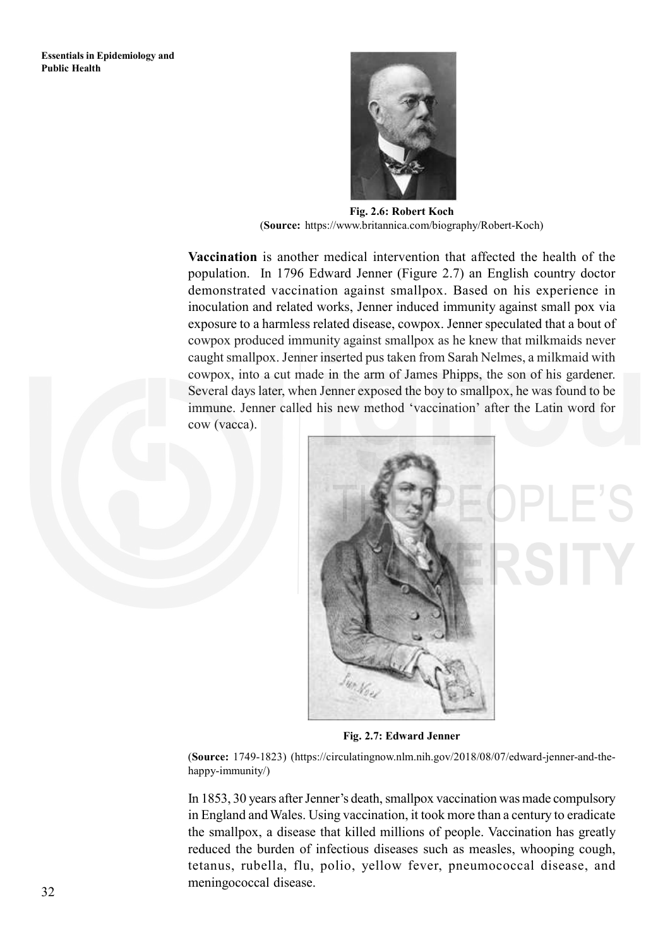**Essentials in Epidemiology and Public Health**



**Fig. 2.6: Robert Koch** (**Source:** https://www.britannica.com/biography/Robert-Koch)

**Vaccination** is another medical intervention that affected the health of the population. In 1796 Edward Jenner (Figure 2.7) an English country doctor demonstrated vaccination against smallpox. Based on his experience in inoculation and related works, Jenner induced immunity against small pox via exposure to a harmless related disease, cowpox. Jenner speculated that a bout of cowpox produced immunity against smallpox as he knew that milkmaids never caught smallpox. Jenner inserted pus taken from Sarah Nelmes, a milkmaid with cowpox, into a cut made in the arm of James Phipps, the son of his gardener. Several days later, when Jenner exposed the boy to smallpox, he was found to be immune. Jenner called his new method 'vaccination' after the Latin word for cow (vacca).



**Fig. 2.7: Edward Jenner**

(**Source:** 1749-1823) (https://circulatingnow.nlm.nih.gov/2018/08/07/edward-jenner-and-thehappy-immunity/)

In 1853, 30 years after Jenner's death, smallpox vaccination was made compulsory in England and Wales. Using vaccination, it took more than a century to eradicate the smallpox, a disease that killed millions of people. Vaccination has greatly reduced the burden of infectious diseases such as measles, whooping cough, tetanus, rubella, flu, polio, yellow fever, pneumococcal disease, and meningococcal disease.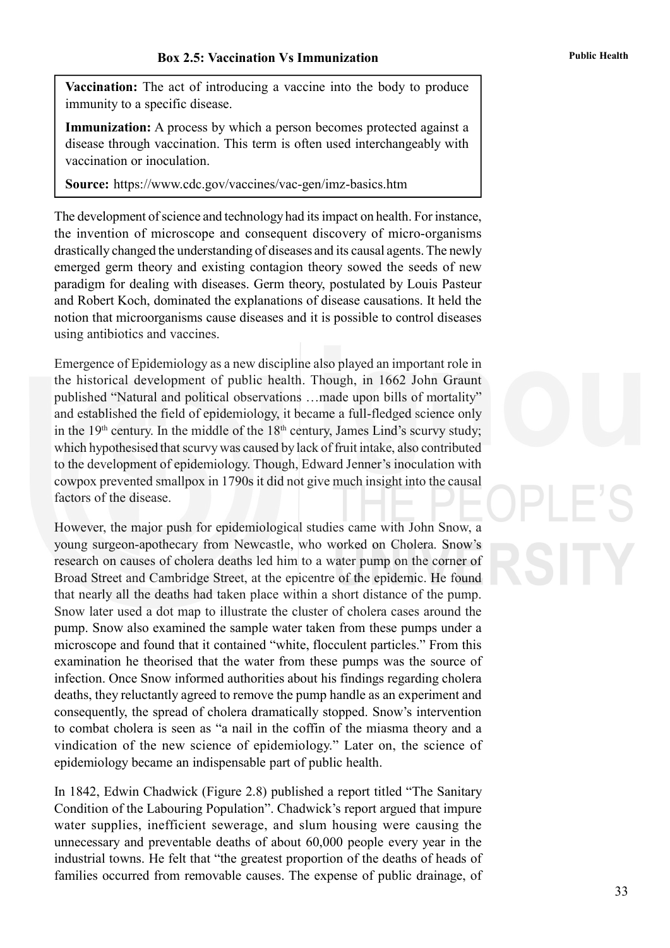**Vaccination:** The act of introducing a vaccine into the body to produce immunity to a specific disease.

**Immunization:** A process by which a person becomes protected against a disease through vaccination. This term is often used interchangeably with vaccination or inoculation.

**Source:** https://www.cdc.gov/vaccines/vac-gen/imz-basics.htm

The development of science and technology had its impact on health. For instance, the invention of microscope and consequent discovery of micro-organisms drastically changed the understanding of diseases and its causal agents. The newly emerged germ theory and existing contagion theory sowed the seeds of new paradigm for dealing with diseases. Germ theory, postulated by Louis Pasteur and Robert Koch, dominated the explanations of disease causations. It held the notion that microorganisms cause diseases and it is possible to control diseases using antibiotics and vaccines.

Emergence of Epidemiology as a new discipline also played an important role in the historical development of public health. Though, in 1662 John Graunt published "Natural and political observations …made upon bills of mortality" and established the field of epidemiology, it became a full-fledged science only in the  $19<sup>th</sup>$  century. In the middle of the  $18<sup>th</sup>$  century, James Lind's scurvy study; which hypothesised that scurvy was caused by lack of fruit intake, also contributed to the development of epidemiology. Though, Edward Jenner's inoculation with cowpox prevented smallpox in 1790s it did not give much insight into the causal factors of the disease.

However, the major push for epidemiological studies came with John Snow, a young surgeon-apothecary from Newcastle, who worked on Cholera. Snow's research on causes of cholera deaths led him to a water pump on the corner of Broad Street and Cambridge Street, at the epicentre of the epidemic. He found that nearly all the deaths had taken place within a short distance of the pump. Snow later used a dot map to illustrate the cluster of cholera cases around the pump. Snow also examined the sample water taken from these pumps under a microscope and found that it contained "white, flocculent particles." From this examination he theorised that the water from these pumps was the source of infection. Once Snow informed authorities about his findings regarding cholera deaths, they reluctantly agreed to remove the pump handle as an experiment and consequently, the spread of cholera dramatically stopped. Snow's intervention to combat cholera is seen as "a nail in the coffin of the miasma theory and a vindication of the new science of epidemiology." Later on, the science of epidemiology became an indispensable part of public health.

In 1842, Edwin Chadwick (Figure 2.8) published a report titled "The Sanitary Condition of the Labouring Population". Chadwick's report argued that impure water supplies, inefficient sewerage, and slum housing were causing the unnecessary and preventable deaths of about 60,000 people every year in the industrial towns. He felt that "the greatest proportion of the deaths of heads of families occurred from removable causes. The expense of public drainage, of

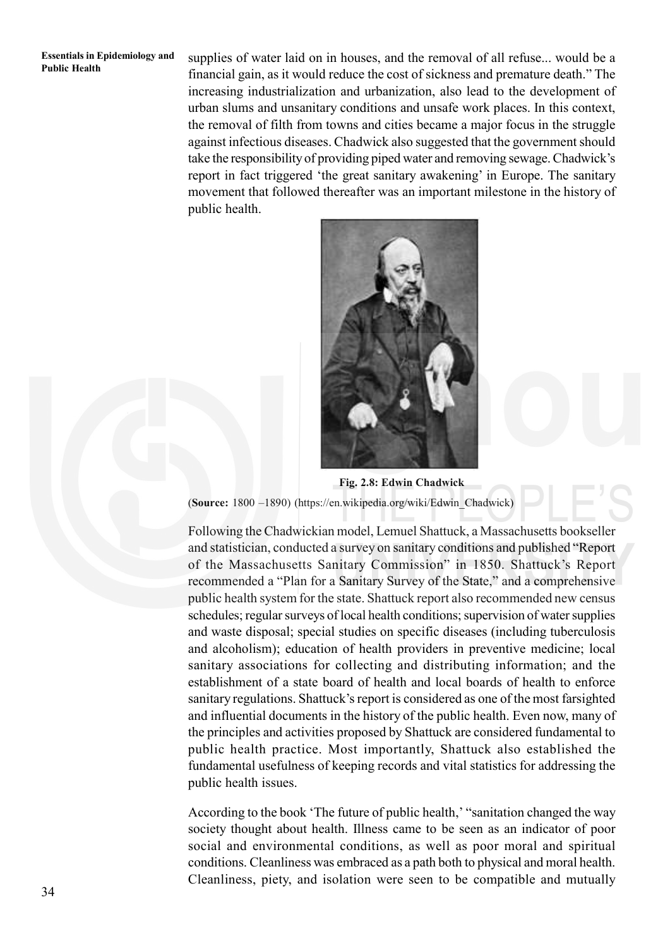**Essentials in Epidemiology and** supplies of water laid on in houses, and the removal of all refuse... would be a Public Health financial gain, as it would reduce the cost of sickness and premature death." The increasing industrialization and urbanization, also lead to the development of urban slums and unsanitary conditions and unsafe work places. In this context, the removal of filth from towns and cities became a major focus in the struggle against infectious diseases. Chadwick also suggested that the government should take the responsibility of providing piped water and removing sewage. Chadwick's report in fact triggered 'the great sanitary awakening' in Europe. The sanitary movement that followed thereafter was an important milestone in the history of public health.



**Fig. 2.8: Edwin Chadwick** (**Source:** 1800 –1890) (https://en.wikipedia.org/wiki/Edwin\_Chadwick)

Following the Chadwickian model, Lemuel Shattuck, a Massachusetts bookseller and statistician, conducted a survey on sanitary conditions and published "Report of the Massachusetts Sanitary Commission" in 1850. Shattuck's Report recommended a "Plan for a Sanitary Survey of the State," and a comprehensive public health system for the state. Shattuck report also recommended new census schedules; regular surveys of local health conditions; supervision of water supplies and waste disposal; special studies on specific diseases (including tuberculosis and alcoholism); education of health providers in preventive medicine; local sanitary associations for collecting and distributing information; and the establishment of a state board of health and local boards of health to enforce sanitary regulations. Shattuck's report is considered as one of the most farsighted and influential documents in the history of the public health. Even now, many of the principles and activities proposed by Shattuck are considered fundamental to public health practice. Most importantly, Shattuck also established the fundamental usefulness of keeping records and vital statistics for addressing the public health issues.

According to the book 'The future of public health,' "sanitation changed the way society thought about health. Illness came to be seen as an indicator of poor social and environmental conditions, as well as poor moral and spiritual conditions. Cleanliness was embraced as a path both to physical and moral health. Cleanliness, piety, and isolation were seen to be compatible and mutually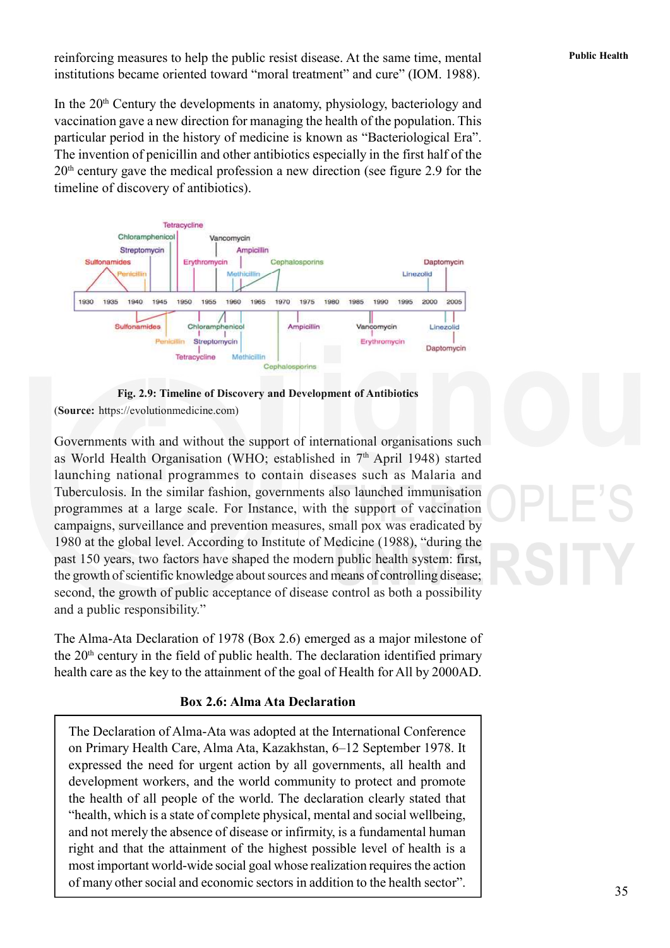**Public Health** reinforcing measures to help the public resist disease. At the same time, mental institutions became oriented toward "moral treatment" and cure" (IOM. 1988).

In the 20<sup>th</sup> Century the developments in anatomy, physiology, bacteriology and vaccination gave a new direction for managing the health of the population. This particular period in the history of medicine is known as "Bacteriological Era". The invention of penicillin and other antibiotics especially in the first half of the  $20<sup>th</sup>$  century gave the medical profession a new direction (see figure 2.9 for the timeline of discovery of antibiotics).





Governments with and without the support of international organisations such as World Health Organisation (WHO; established in  $7<sup>th</sup>$  April 1948) started launching national programmes to contain diseases such as Malaria and Tuberculosis. In the similar fashion, governments also launched immunisation programmes at a large scale. For Instance, with the support of vaccination campaigns, surveillance and prevention measures, small pox was eradicated by 1980 at the global level. According to Institute of Medicine (1988), "during the past 150 years, two factors have shaped the modern public health system: first, the growth of scientific knowledge about sources and means of controlling disease; second, the growth of public acceptance of disease control as both a possibility and a public responsibility."

The Alma-Ata Declaration of 1978 (Box 2.6) emerged as a major milestone of the  $20<sup>th</sup>$  century in the field of public health. The declaration identified primary health care as the key to the attainment of the goal of Health for All by 2000AD.

#### **Box 2.6: Alma Ata Declaration**

The Declaration of Alma-Ata was adopted at the International Conference on Primary Health Care, Alma Ata, Kazakhstan, 6–12 September 1978. It expressed the need for urgent action by all governments, all health and development workers, and the world community to protect and promote the health of all people of the world. The declaration clearly stated that "health, which is a state of complete physical, mental and social wellbeing, and not merely the absence of disease or infirmity, is a fundamental human right and that the attainment of the highest possible level of health is a most important world-wide social goal whose realization requires the action of many other social and economic sectors in addition to the health sector".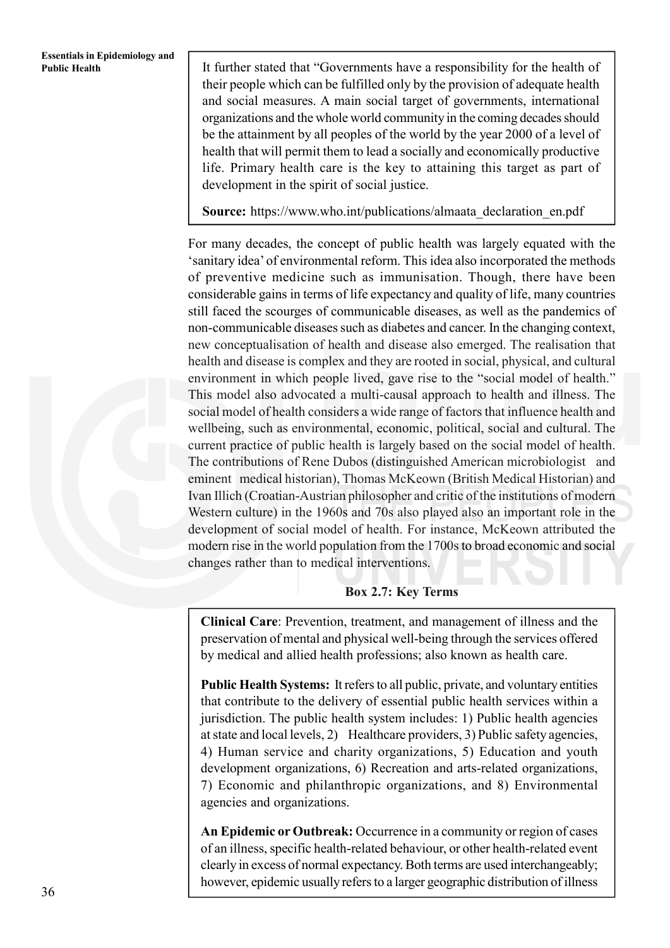**Public Health** It further stated that "Governments have a responsibility for the health of their people which can be fulfilled only by the provision of adequate health and social measures. A main social target of governments, international organizations and the whole world community in the coming decades should be the attainment by all peoples of the world by the year 2000 of a level of health that will permit them to lead a socially and economically productive life. Primary health care is the key to attaining this target as part of development in the spirit of social justice.

**Source:** https://www.who.int/publications/almaata\_declaration\_en.pdf

For many decades, the concept of public health was largely equated with the 'sanitary idea' of environmental reform. This idea also incorporated the methods of preventive medicine such as immunisation. Though, there have been considerable gains in terms of life expectancy and quality of life, many countries still faced the scourges of communicable diseases, as well as the pandemics of non-communicable diseases such as diabetes and cancer. In the changing context, new conceptualisation of health and disease also emerged. The realisation that health and disease is complex and they are rooted in social, physical, and cultural environment in which people lived, gave rise to the "social model of health." This model also advocated a multi-causal approach to health and illness. The social model of health considers a wide range of factors that influence health and wellbeing, such as environmental, economic, political, social and cultural. The current practice of public health is largely based on the social model of health. The contributions of Rene Dubos (distinguished American microbiologist and eminent medical historian), Thomas McKeown (British Medical Historian) and Ivan Illich (Croatian-Austrian philosopher and critic of the institutions of modern Western culture) in the 1960s and 70s also played also an important role in the development of social model of health. For instance, McKeown attributed the modern rise in the world population from the 1700s to broad economic and social changes rather than to medical interventions.

#### **Box 2.7: Key Terms**

**Clinical Care**: Prevention, treatment, and management of illness and the preservation of mental and physical well-being through the services offered by medical and allied health professions; also known as health care.

**Public Health Systems:** It refers to all public, private, and voluntary entities that contribute to the delivery of essential public health services within a jurisdiction. The public health system includes: 1) Public health agencies at state and local levels, 2) Healthcare providers, 3) Public safety agencies, 4) Human service and charity organizations, 5) Education and youth development organizations, 6) Recreation and arts-related organizations, 7) Economic and philanthropic organizations, and 8) Environmental agencies and organizations.

**An Epidemic or Outbreak:** Occurrence in a community or region of cases of an illness, specific health-related behaviour, or other health-related event clearly in excess of normal expectancy. Both terms are used interchangeably; however, epidemic usually refers to a larger geographic distribution of illness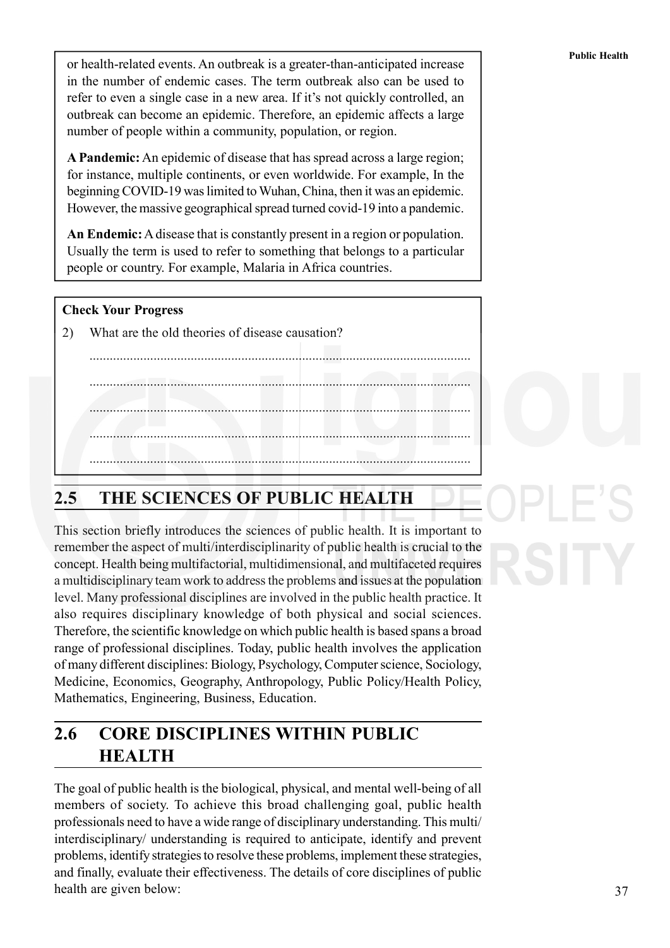**Public Health-related events. An outbreak is a greater-than-anticipated increase** in the number of endemic cases. The term outbreak also can be used to refer to even a single case in a new area. If it's not quickly controlled, an outbreak can become an epidemic. Therefore, an epidemic affects a large number of people within a community, population, or region.

**A Pandemic:** An epidemic of disease that has spread across a large region; for instance, multiple continents, or even worldwide. For example, In the beginning COVID-19 was limited to Wuhan, China, then it was an epidemic. However, the massive geographical spread turned covid-19 into a pandemic.

**An Endemic:** A disease that is constantly present in a region or population. Usually the term is used to refer to something that belongs to a particular people or country. For example, Malaria in Africa countries.

.................................................................................................................

.................................................................................................................

.................................................................................................................

.................................................................................................................

.................................................................................................................



2) What are the old theories of disease causation?

# **2.5 THE SCIENCES OF PUBLIC HEALTH**

This section briefly introduces the sciences of public health. It is important to remember the aspect of multi/interdisciplinarity of public health is crucial to the concept. Health being multifactorial, multidimensional, and multifaceted requires a multidisciplinary team work to address the problems and issues at the population level. Many professional disciplines are involved in the public health practice. It also requires disciplinary knowledge of both physical and social sciences. Therefore, the scientific knowledge on which public health is based spans a broad range of professional disciplines. Today, public health involves the application of many different disciplines: Biology, Psychology, Computer science, Sociology, Medicine, Economics, Geography, Anthropology, Public Policy/Health Policy, Mathematics, Engineering, Business, Education.

# **2.6 CORE DISCIPLINES WITHIN PUBLIC HEALTH**

The goal of public health is the biological, physical, and mental well-being of all members of society. To achieve this broad challenging goal, public health professionals need to have a wide range of disciplinary understanding. This multi/ interdisciplinary/ understanding is required to anticipate, identify and prevent problems, identify strategies to resolve these problems, implement these strategies, and finally, evaluate their effectiveness. The details of core disciplines of public health are given below: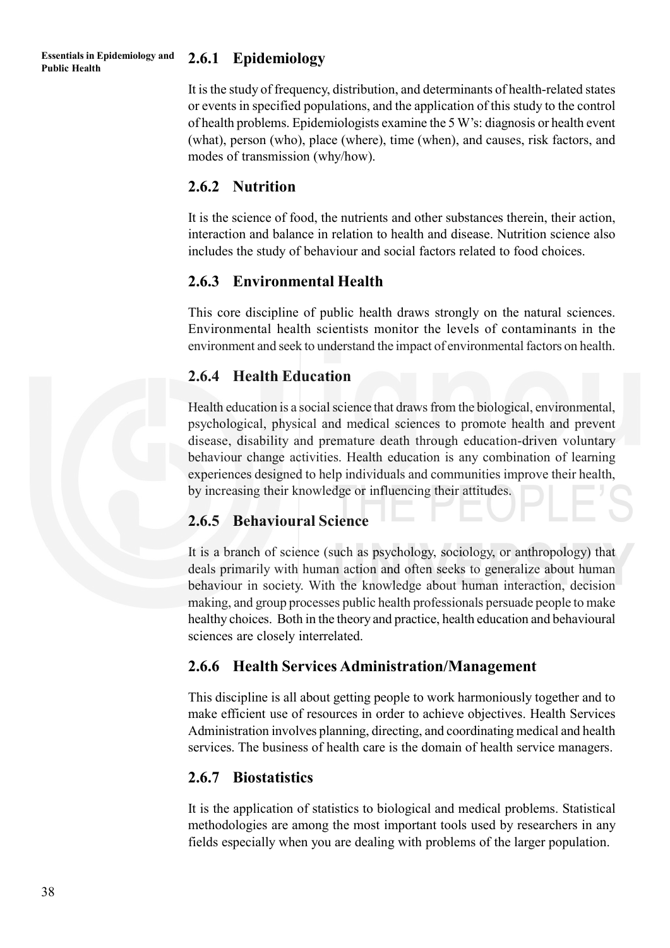**Essentials in Epidemiology and Essentials in Epidemiology and 2.6.1 Epidemiology**<br>Public Health

It is the study of frequency, distribution, and determinants of health-related states or events in specified populations, and the application of this study to the control of health problems. Epidemiologists examine the 5 W's: diagnosis or health event (what), person (who), place (where), time (when), and causes, risk factors, and modes of transmission (why/how).

## **2.6.2 Nutrition**

It is the science of food, the nutrients and other substances therein, their action, interaction and balance in relation to health and disease. Nutrition science also includes the study of behaviour and social factors related to food choices.

## **2.6.3 Environmental Health**

This core discipline of public health draws strongly on the natural sciences. Environmental health scientists monitor the levels of contaminants in the environment and seek to understand the impact of environmental factors on health.

## **2.6.4 Health Education**

Health education is a social science that draws from the biological, environmental, psychological, physical and medical sciences to promote health and prevent disease, disability and premature death through education-driven voluntary behaviour change activities. Health education is any combination of learning experiences designed to help individuals and communities improve their health, by increasing their knowledge or influencing their attitudes.

## **2.6.5 Behavioural Science**

It is a branch of science (such as psychology, sociology, or anthropology) that deals primarily with human action and often seeks to generalize about human behaviour in society. With the knowledge about human interaction, decision making, and group processes public health professionals persuade people to make healthy choices. Both in the theory and practice, health education and behavioural sciences are closely interrelated.

#### **2.6.6 Health Services Administration/Management**

This discipline is all about getting people to work harmoniously together and to make efficient use of resources in order to achieve objectives. Health Services Administration involves planning, directing, and coordinating medical and health services. The business of health care is the domain of health service managers.

## **2.6.7 Biostatistics**

It is the application of statistics to biological and medical problems. Statistical methodologies are among the most important tools used by researchers in any fields especially when you are dealing with problems of the larger population.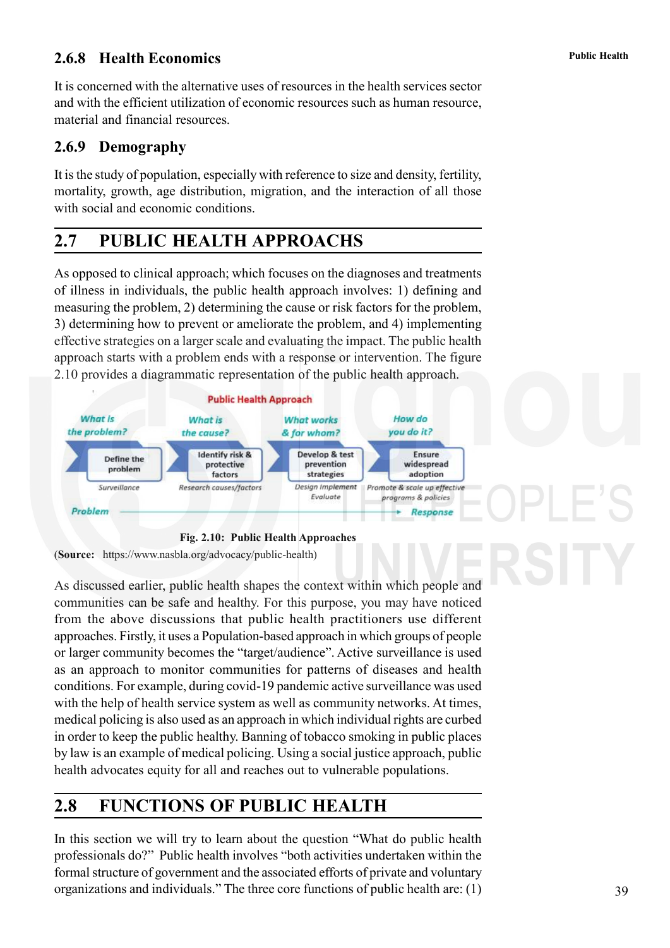## **Public Health 2.6.8 Health Economics**

It is concerned with the alternative uses of resources in the health services sector and with the efficient utilization of economic resources such as human resource, material and financial resources.

#### **2.6.9 Demography**

It is the study of population, especially with reference to size and density, fertility, mortality, growth, age distribution, migration, and the interaction of all those with social and economic conditions.

# **2.7 PUBLIC HEALTH APPROACHS**

As opposed to clinical approach; which focuses on the diagnoses and treatments of illness in individuals, the public health approach involves: 1) defining and measuring the problem, 2) determining the cause or risk factors for the problem, 3) determining how to prevent or ameliorate the problem, and 4) implementing effective strategies on a larger scale and evaluating the impact. The public health approach starts with a problem ends with a response or intervention. The figure 2.10 provides a diagrammatic representation of the public health approach.





(**Source:** https://www.nasbla.org/advocacy/public-health)

As discussed earlier, public health shapes the context within which people and communities can be safe and healthy. For this purpose, you may have noticed from the above discussions that public health practitioners use different approaches. Firstly, it uses a Population-based approach in which groups of people or larger community becomes the "target/audience". Active surveillance is used as an approach to monitor communities for patterns of diseases and health conditions. For example, during covid-19 pandemic active surveillance was used with the help of health service system as well as community networks. At times, medical policing is also used as an approach in which individual rights are curbed in order to keep the public healthy. Banning of tobacco smoking in public places by law is an example of medical policing. Using a social justice approach, public health advocates equity for all and reaches out to vulnerable populations.

# **2.8 FUNCTIONS OF PUBLIC HEALTH**

In this section we will try to learn about the question "What do public health professionals do?" Public health involves "both activities undertaken within the formal structure of government and the associated efforts of private and voluntary organizations and individuals." The three core functions of public health are: (1)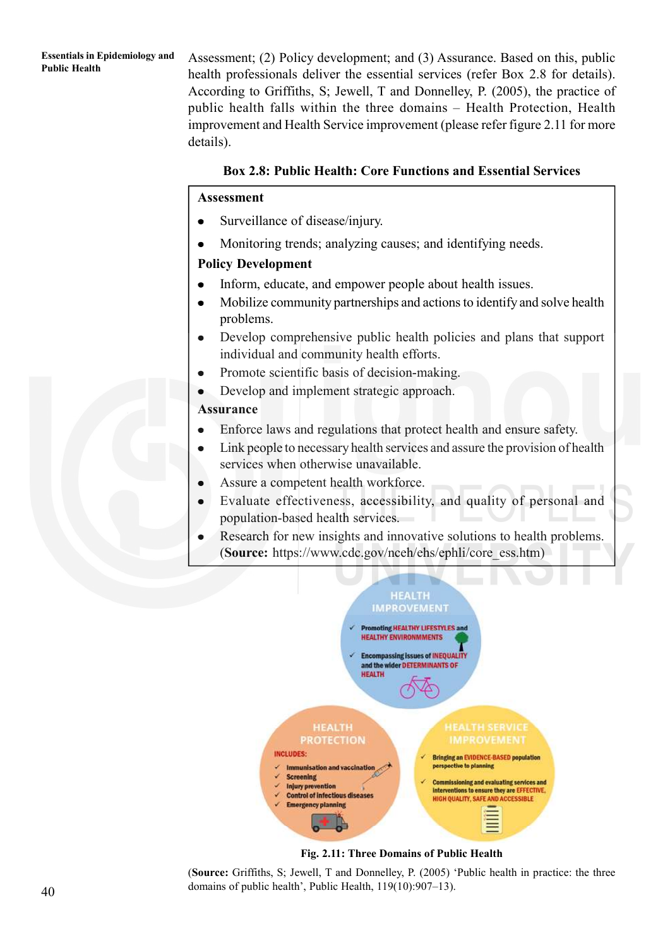**Essentials in Epidemiology and** Assessment; (2) Policy development; and (3) Assurance. Based on this, public Public Health health professionals deliver the essential services (refer Box 2.8 for details). According to Griffiths, S; Jewell, T and Donnelley, P. (2005), the practice of public health falls within the three domains – Health Protection, Health improvement and Health Service improvement (please refer figure 2.11 for more details).

#### **Box 2.8: Public Health: Core Functions and Essential Services**

#### **Assessment**

- Surveillance of disease/injury.  $\bullet$
- $\bullet$ Monitoring trends; analyzing causes; and identifying needs.

#### **Policy Development**

- Inform, educate, and empower people about health issues.  $\bullet$
- Mobilize community partnerships and actions to identify and solve health  $\bullet$ problems.
- Develop comprehensive public health policies and plans that support  $\bullet$ individual and community health efforts.
- Promote scientific basis of decision-making.  $\bullet$
- Develop and implement strategic approach.

#### **Assurance**

- $\bullet$ Enforce laws and regulations that protect health and ensure safety.
- Link people to necessary health services and assure the provision of health  $\bullet$ services when otherwise unavailable.
- Assure a competent health workforce.  $\bullet$
- Evaluate effectiveness, accessibility, and quality of personal and  $\bullet$ population-based health services.
- Research for new insights and innovative solutions to health problems.  $\bullet$ (**Source:** https://www.cdc.gov/nceh/ehs/ephli/core\_ess.htm)



**Fig. 2.11: Three Domains of Public Health**

(**Source:** Griffiths, S; Jewell, T and Donnelley, P. (2005) 'Public health in practice: the three domains of public health', Public Health, 119(10):907–13).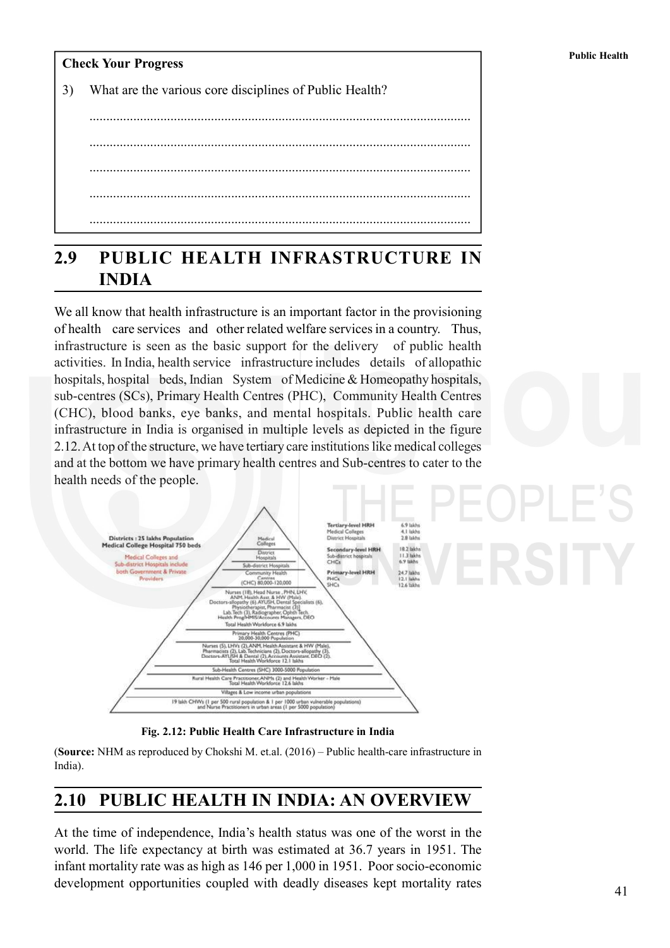# **Public Health Progress Public Health Public Health Public Health Public Health**

3) What are the various core disciplines of Public Health?

................................................................................................................. ................................................................................................................. ................................................................................................................. ................................................................................................................. .................................................................................................................

# **2.9 PUBLIC HEALTH INFRASTRUCTURE IN INDIA**

We all know that health infrastructure is an important factor in the provisioning of health care services and other related welfare services in a country. Thus, infrastructure is seen as the basic support for the delivery of public health activities. In India, health service infrastructure includes details of allopathic hospitals, hospital beds, Indian System of Medicine & Homeopathy hospitals, sub-centres (SCs), Primary Health Centres (PHC), Community Health Centres (CHC), blood banks, eye banks, and mental hospitals. Public health care infrastructure in India is organised in multiple levels as depicted in the figure 2.12. At top of the structure, we have tertiary care institutions like medical colleges and at the bottom we have primary health centres and Sub-centres to cater to the health needs of the people.





(**Source:** NHM as reproduced by Chokshi M. et.al. (2016) – Public health-care infrastructure in India).

# **2.10 PUBLIC HEALTH IN INDIA: AN OVERVIEW**

At the time of independence, India's health status was one of the worst in the world. The life expectancy at birth was estimated at 36.7 years in 1951. The infant mortality rate was as high as 146 per 1,000 in 1951. Poor socio-economic development opportunities coupled with deadly diseases kept mortality rates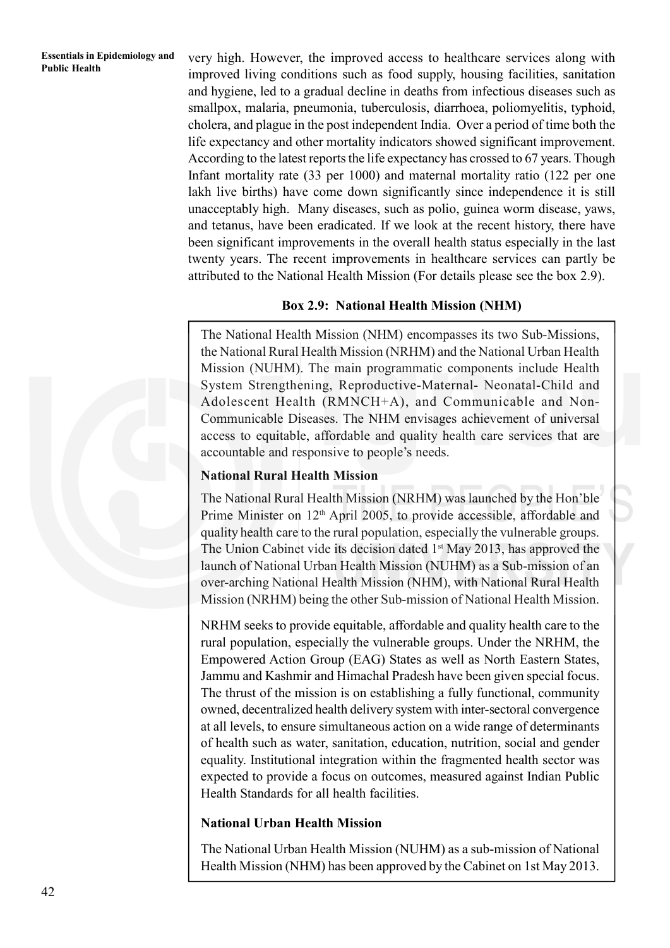**Essentials in Epidemiology and** very high. However, the improved access to healthcare services along with Public Health improved living conditions such as food supply, housing facilities, sanitation and hygiene, led to a gradual decline in deaths from infectious diseases such as smallpox, malaria, pneumonia, tuberculosis, diarrhoea, poliomyelitis, typhoid, cholera, and plague in the post independent India. Over a period of time both the life expectancy and other mortality indicators showed significant improvement. According to the latest reports the life expectancy has crossed to 67 years. Though Infant mortality rate (33 per 1000) and maternal mortality ratio (122 per one lakh live births) have come down significantly since independence it is still unacceptably high. Many diseases, such as polio, guinea worm disease, yaws, and tetanus, have been eradicated. If we look at the recent history, there have been significant improvements in the overall health status especially in the last twenty years. The recent improvements in healthcare services can partly be attributed to the National Health Mission (For details please see the box 2.9).

#### **Box 2.9: National Health Mission (NHM)**

The National Health Mission (NHM) encompasses its two Sub-Missions, the National Rural Health Mission (NRHM) and the National Urban Health Mission (NUHM). The main programmatic components include Health System Strengthening, Reproductive-Maternal- Neonatal-Child and Adolescent Health (RMNCH+A), and Communicable and Non-Communicable Diseases. The NHM envisages achievement of universal access to equitable, affordable and quality health care services that are accountable and responsive to people's needs.

#### **National Rural Health Mission**

The National Rural Health Mission (NRHM) was launched by the Hon'ble Prime Minister on 12<sup>th</sup> April 2005, to provide accessible, affordable and quality health care to the rural population, especially the vulnerable groups. The Union Cabinet vide its decision dated  $1<sup>st</sup>$  May 2013, has approved the launch of National Urban Health Mission (NUHM) as a Sub-mission of an over-arching National Health Mission (NHM), with National Rural Health Mission (NRHM) being the other Sub-mission of National Health Mission.

NRHM seeks to provide equitable, affordable and quality health care to the rural population, especially the vulnerable groups. Under the NRHM, the Empowered Action Group (EAG) States as well as North Eastern States, Jammu and Kashmir and Himachal Pradesh have been given special focus. The thrust of the mission is on establishing a fully functional, community owned, decentralized health delivery system with inter-sectoral convergence at all levels, to ensure simultaneous action on a wide range of determinants of health such as water, sanitation, education, nutrition, social and gender equality. Institutional integration within the fragmented health sector was expected to provide a focus on outcomes, measured against Indian Public Health Standards for all health facilities.

#### **National Urban Health Mission**

The National Urban Health Mission (NUHM) as a sub-mission of National Health Mission (NHM) has been approved by the Cabinet on 1st May 2013.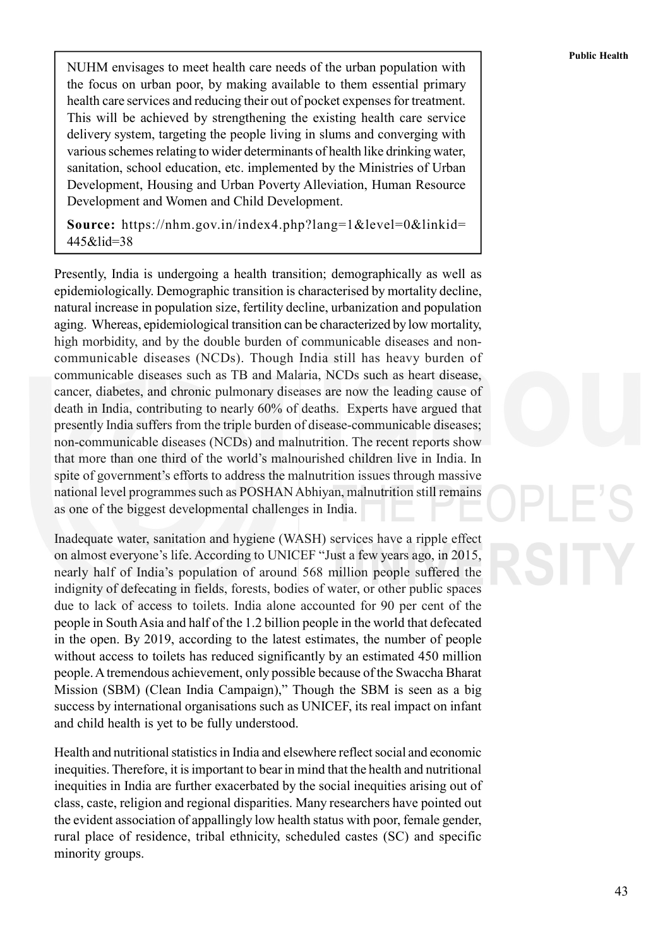NUHM envisages to meet health care needs of the urban population with the focus on urban poor, by making available to them essential primary health care services and reducing their out of pocket expenses for treatment. This will be achieved by strengthening the existing health care service delivery system, targeting the people living in slums and converging with various schemes relating to wider determinants of health like drinking water, sanitation, school education, etc. implemented by the Ministries of Urban Development, Housing and Urban Poverty Alleviation, Human Resource Development and Women and Child Development.

**Source:** https://nhm.gov.in/index4.php?lang=1&level=0&linkid= 445&lid=38

Presently, India is undergoing a health transition; demographically as well as epidemiologically. Demographic transition is characterised by mortality decline, natural increase in population size, fertility decline, urbanization and population aging. Whereas, epidemiological transition can be characterized by low mortality, high morbidity, and by the double burden of communicable diseases and noncommunicable diseases (NCDs). Though India still has heavy burden of communicable diseases such as TB and Malaria, NCDs such as heart disease, cancer, diabetes, and chronic pulmonary diseases are now the leading cause of death in India, contributing to nearly 60% of deaths. Experts have argued that presently India suffers from the triple burden of disease-communicable diseases; non-communicable diseases (NCDs) and malnutrition. The recent reports show that more than one third of the world's malnourished children live in India. In spite of government's efforts to address the malnutrition issues through massive national level programmes such as POSHAN Abhiyan, malnutrition still remains as one of the biggest developmental challenges in India.

Inadequate water, sanitation and hygiene (WASH) services have a ripple effect on almost everyone's life. According to UNICEF "Just a few years ago, in 2015, nearly half of India's population of around 568 million people suffered the indignity of defecating in fields, forests, bodies of water, or other public spaces due to lack of access to toilets. India alone accounted for 90 per cent of the people in South Asia and half of the 1.2 billion people in the world that defecated in the open. By 2019, according to the latest estimates, the number of people without access to toilets has reduced significantly by an estimated 450 million people. A tremendous achievement, only possible because of the Swaccha Bharat Mission (SBM) (Clean India Campaign)," Though the SBM is seen as a big success by international organisations such as UNICEF, its real impact on infant and child health is yet to be fully understood.

Health and nutritional statistics in India and elsewhere reflect social and economic inequities. Therefore, it is important to bear in mind that the health and nutritional inequities in India are further exacerbated by the social inequities arising out of class, caste, religion and regional disparities. Many researchers have pointed out the evident association of appallingly low health status with poor, female gender, rural place of residence, tribal ethnicity, scheduled castes (SC) and specific minority groups.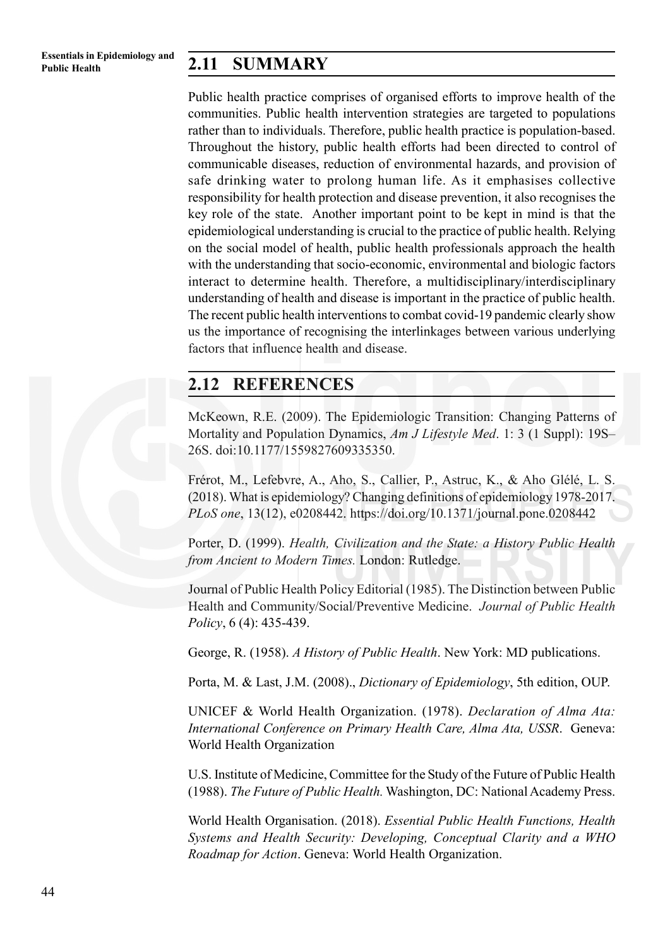Public health practice comprises of organised efforts to improve health of the communities. Public health intervention strategies are targeted to populations rather than to individuals. Therefore, public health practice is population-based. Throughout the history, public health efforts had been directed to control of communicable diseases, reduction of environmental hazards, and provision of safe drinking water to prolong human life. As it emphasises collective responsibility for health protection and disease prevention, it also recognises the key role of the state. Another important point to be kept in mind is that the epidemiological understanding is crucial to the practice of public health. Relying on the social model of health, public health professionals approach the health with the understanding that socio-economic, environmental and biologic factors interact to determine health. Therefore, a multidisciplinary/interdisciplinary understanding of health and disease is important in the practice of public health. The recent public health interventions to combat covid-19 pandemic clearly show us the importance of recognising the interlinkages between various underlying factors that influence health and disease.

## **2.12 REFERENCES**

McKeown, R.E. (2009). The Epidemiologic Transition: Changing Patterns of Mortality and Population Dynamics, *Am J Lifestyle Med*. 1: 3 (1 Suppl): 19S– 26S. doi:10.1177/1559827609335350.

Frérot, M., Lefebvre, A., Aho, S., Callier, P., Astruc, K., & Aho Glélé, L. S. (2018). What is epidemiology? Changing definitions of epidemiology 1978-2017. *PLoS one*, 13(12), e0208442. https://doi.org/10.1371/journal.pone.0208442

Porter, D. (1999). *Health, Civilization and the State: a History Public Health from Ancient to Modern Times.* London: Rutledge.

Journal of Public Health Policy Editorial (1985). The Distinction between Public Health and Community/Social/Preventive Medicine. *Journal of Public Health Policy*, 6 (4): 435-439.

George, R. (1958). *A History of Public Health*. New York: MD publications.

Porta, M. & Last, J.M. (2008)., *Dictionary of Epidemiology*, 5th edition, OUP.

UNICEF & World Health Organization. (1978). *Declaration of Alma Ata: International Conference on Primary Health Care, Alma Ata, USSR*. Geneva: World Health Organization

U.S. Institute of Medicine, Committee for the Study of the Future of Public Health (1988). *The Future of Public Health.* Washington, DC: National Academy Press.

World Health Organisation. (2018). *Essential Public Health Functions, Health Systems and Health Security: Developing, Conceptual Clarity and a WHO Roadmap for Action*. Geneva: World Health Organization.